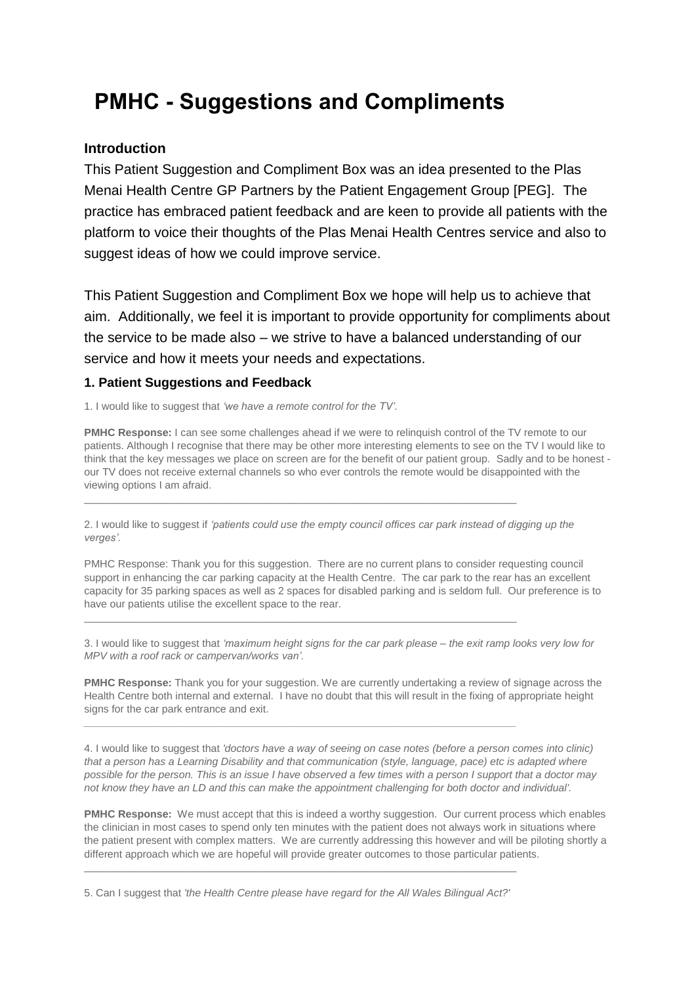# **PMHC - Suggestions and Compliments**

## **Introduction**

This Patient Suggestion and Compliment Box was an idea presented to the Plas Menai Health Centre GP Partners by the Patient Engagement Group [PEG]. The practice has embraced patient feedback and are keen to provide all patients with the platform to voice their thoughts of the Plas Menai Health Centres service and also to suggest ideas of how we could improve service.

This Patient Suggestion and Compliment Box we hope will help us to achieve that aim. Additionally, we feel it is important to provide opportunity for compliments about the service to be made also – we strive to have a balanced understanding of our service and how it meets your needs and expectations.

### **1. Patient Suggestions and Feedback**

1. I would like to suggest that *'we have a remote control for the TV'.*

**PMHC Response:** I can see some challenges ahead if we were to relinquish control of the TV remote to our patients. Although I recognise that there may be other more interesting elements to see on the TV I would like to think that the key messages we place on screen are for the benefit of our patient group. Sadly and to be honest our TV does not receive external channels so who ever controls the remote would be disappointed with the viewing options I am afraid.

2. I would like to suggest if *'patients could use the empty council offices car park instead of digging up the verges'.*

 $\_$  , and the set of the set of the set of the set of the set of the set of the set of the set of the set of the set of the set of the set of the set of the set of the set of the set of the set of the set of the set of th

 $\_$  , and the set of the set of the set of the set of the set of the set of the set of the set of the set of the set of the set of the set of the set of the set of the set of the set of the set of the set of the set of th

*\_\_\_\_\_\_\_\_\_\_\_\_\_\_\_\_\_\_\_\_\_\_\_\_\_\_\_\_\_\_\_\_\_\_\_\_\_\_\_\_\_\_\_\_\_\_\_\_\_\_\_\_\_\_\_\_\_\_\_\_\_\_\_\_\_\_\_\_\_\_\_\_\_\_*

PMHC Response: Thank you for this suggestion. There are no current plans to consider requesting council support in enhancing the car parking capacity at the Health Centre. The car park to the rear has an excellent capacity for 35 parking spaces as well as 2 spaces for disabled parking and is seldom full. Our preference is to have our patients utilise the excellent space to the rear.

3. I would like to suggest that *'maximum height signs for the car park please – the exit ramp looks very low for MPV with a roof rack or campervan/works van'.*

**PMHC Response:** Thank you for your suggestion. We are currently undertaking a review of signage across the Health Centre both internal and external. I have no doubt that this will result in the fixing of appropriate height signs for the car park entrance and exit.

4. I would like to suggest that *'doctors have a way of seeing on case notes (before a person comes into clinic)* that a person has a Learning Disability and that communication (style, language, pace) etc is adapted where possible for the person. This is an issue I have observed a few times with a person I support that a doctor may not know they have an LD and this can make the appointment challenging for both doctor and individual'.

**PMHC Response:** We must accept that this is indeed a worthy suggestion. Our current process which enables the clinician in most cases to spend only ten minutes with the patient does not always work in situations where the patient present with complex matters. We are currently addressing this however and will be piloting shortly a different approach which we are hopeful will provide greater outcomes to those particular patients.

5. Can I suggest that *'the Health Centre please have regard for the All Wales Bilingual Act?'*

 $\_$  , and the set of the set of the set of the set of the set of the set of the set of the set of the set of the set of the set of the set of the set of the set of the set of the set of the set of the set of the set of th